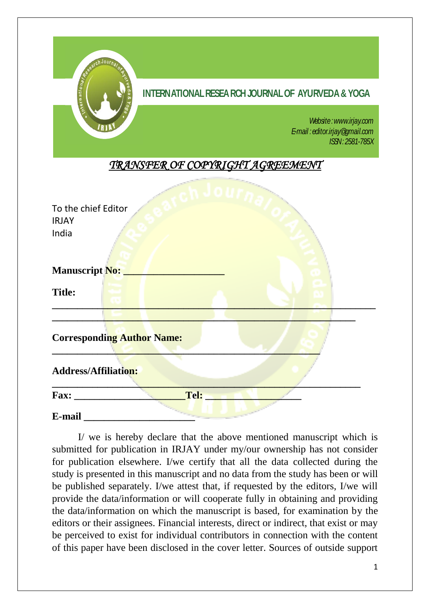

I/ we is hereby declare that the above mentioned manuscript which is submitted for publication in IRJAY under my/our ownership has not consider for publication elsewhere. I/we certify that all the data collected during the study is presented in this manuscript and no data from the study has been or will be published separately. I/we attest that, if requested by the editors, I/we will provide the data/information or will cooperate fully in obtaining and providing the data/information on which the manuscript is based, for examination by the editors or their assignees. Financial interests, direct or indirect, that exist or may be perceived to exist for individual contributors in connection with the content of this paper have been disclosed in the cover letter. Sources of outside support